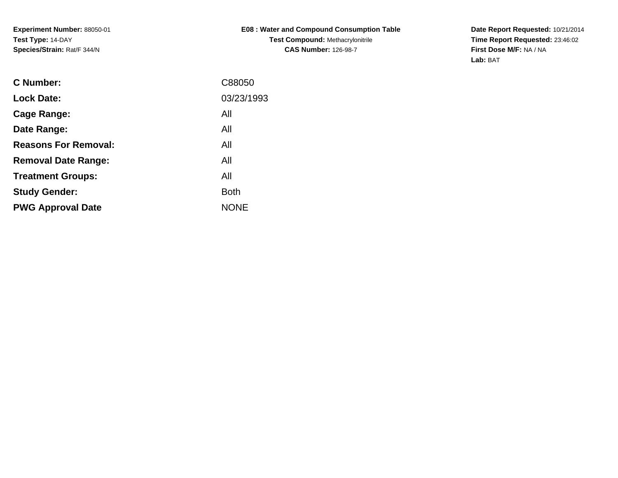**Experiment Number:** 88050-01**Test Type:** 14-DAY**Species/Strain:** Rat/F 344/N

**E08 : Water and Compound Consumption TableTest Compound:** Methacrylonitrile**CAS Number:** 126-98-7

**Date Report Requested:** 10/21/2014 **Time Report Requested:** 23:46:02**First Dose M/F:** NA / NA**Lab:** BAT

| C Number:                   | C88050      |
|-----------------------------|-------------|
| <b>Lock Date:</b>           | 03/23/1993  |
| Cage Range:                 | All         |
| Date Range:                 | All         |
| <b>Reasons For Removal:</b> | All         |
| <b>Removal Date Range:</b>  | All         |
| <b>Treatment Groups:</b>    | All         |
| <b>Study Gender:</b>        | <b>Both</b> |
| <b>PWG Approval Date</b>    | <b>NONE</b> |
|                             |             |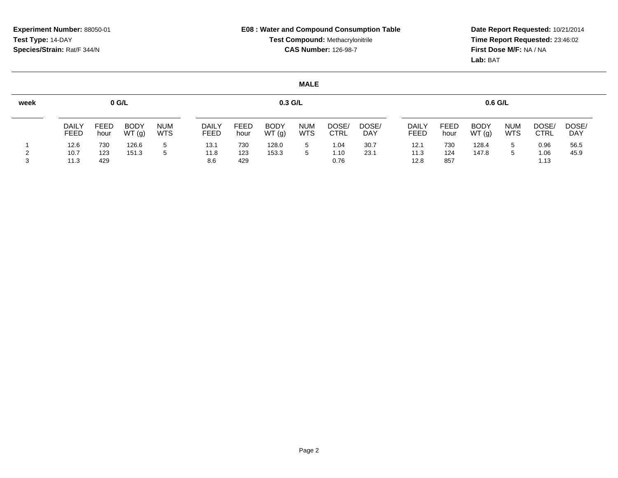**Date Report Requested:** 10/21/2014 **Time Report Requested:** 23:46:02**First Dose M/F:** NA / NA**Lab:** BAT

| week |                      |              | 0 G/L                |                          |                      |                     | $0.3$ G/L            |                    |                      |                     |                      |              | $0.6$ G/L            |                          |               |              |
|------|----------------------|--------------|----------------------|--------------------------|----------------------|---------------------|----------------------|--------------------|----------------------|---------------------|----------------------|--------------|----------------------|--------------------------|---------------|--------------|
|      | <b>DAILY</b><br>FEED | FEED<br>hour | <b>BODY</b><br>WT(g) | <b>NUM</b><br><b>WTS</b> | <b>DAILY</b><br>FEED | <b>FEED</b><br>hour | <b>BODY</b><br>WT(g) | <b>NUM</b><br>WTS. | DOSE/<br><b>CTRL</b> | DOSE/<br><b>DAY</b> | <b>DAILY</b><br>FEED | FEED<br>hour | <b>BODY</b><br>WT(g) | <b>NUM</b><br><b>WTS</b> | DOSE/<br>CTRL | DOSE/<br>DAY |
|      | 12.6                 | 730          | 126.6                | 5                        | 13.1                 | 730                 | 128.0                | 5                  | 1.04                 | 30.7                | 12.1                 | 730          | 128.4                | 5                        | 0.96          | 56.5         |
|      | 10.7                 | 123          | 151.3                |                          | 11.8                 | 123                 | 153.3                | 5                  | 1.10                 | 23.1                | 11.3                 | 124          | 147.8                |                          | 0.06          | 45.9         |
|      | 11.3                 | 429          |                      |                          | 8.6                  | 429                 |                      |                    | 0.76                 |                     | 12.8                 | 857          |                      |                          | 1.13          |              |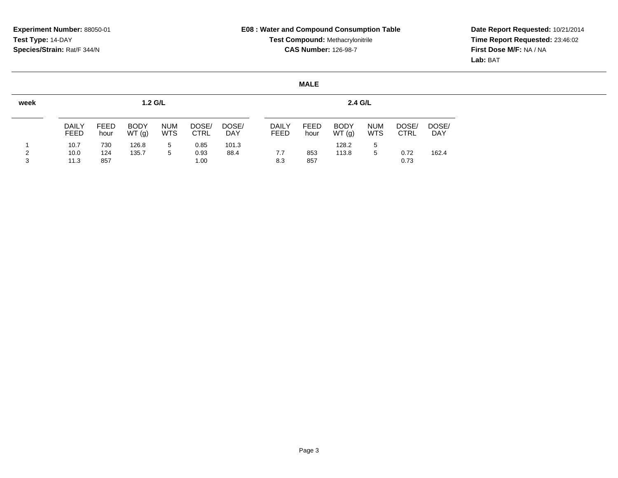**Date Report Requested:** 10/21/2014 **Time Report Requested:** 23:46:02**First Dose M/F:** NA / NA**Lab:** BAT

| week   |                      |                   | 1.2 G/L              |                          |                      |                     |                      |                     | 2.4 G/L              |                          |                      |                     |
|--------|----------------------|-------------------|----------------------|--------------------------|----------------------|---------------------|----------------------|---------------------|----------------------|--------------------------|----------------------|---------------------|
|        | DAILY<br>FEED        | FEED<br>hour      | <b>BODY</b><br>WT(g) | <b>NUM</b><br><b>WTS</b> | DOSE/<br><b>CTRL</b> | DOSE/<br><b>DAY</b> | <b>DAILY</b><br>FEED | <b>FEED</b><br>hour | <b>BODY</b><br>WT(g) | <b>NUM</b><br><b>WTS</b> | DOSE/<br><b>CTRL</b> | DOSE/<br><b>DAY</b> |
| 2<br>3 | 10.7<br>10.0<br>11.3 | 730<br>124<br>857 | 126.8<br>135.7       | 5<br>5                   | 0.85<br>0.93<br>1.00 | 101.3<br>88.4       | 7.7<br>8.3           | 853<br>857          | 128.2<br>113.8       | 5<br>5                   | 0.72<br>0.73         | 162.4               |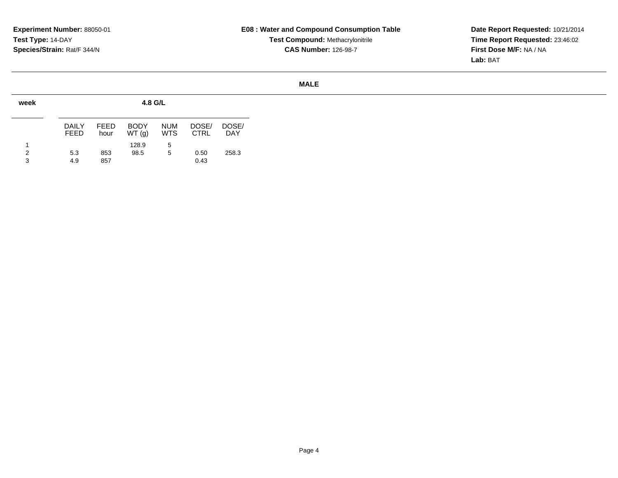**Date Report Requested:** 10/21/2014 **Time Report Requested:** 23:46:02**First Dose M/F:** NA / NA**Lab:** BAT

| week        |                       |              | 4.8 G/L              |                          |                      |                     |
|-------------|-----------------------|--------------|----------------------|--------------------------|----------------------|---------------------|
|             | DAIL Y<br><b>FEED</b> | FFFD<br>hour | <b>BODY</b><br>WT(q) | <b>NUM</b><br><b>WTS</b> | DOSE/<br><b>CTRL</b> | DOSE/<br><b>DAY</b> |
| 1<br>2<br>3 | 5.3<br>4.9            | 853<br>857   | 128.9<br>98.5        | 5<br>5                   | 0.50<br>0.43         | 258.3               |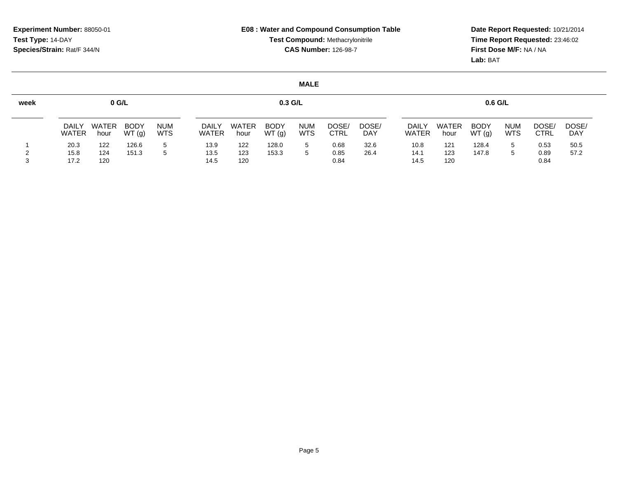# **Date Report Requested:** 10/21/2014 **Time Report Requested:** 23:46:02**First Dose M/F:** NA / NA**Lab:** BAT

| week |                       | $0$ G/L       |                      |                          |                       |               | $0.3$ G/L            |                          |               |                     |                       |               | $0.6$ G/L            |                          |               |                     |
|------|-----------------------|---------------|----------------------|--------------------------|-----------------------|---------------|----------------------|--------------------------|---------------|---------------------|-----------------------|---------------|----------------------|--------------------------|---------------|---------------------|
|      | <b>DAILY</b><br>WATER | WATER<br>hour | <b>BODY</b><br>WT(g) | <b>NUM</b><br><b>WTS</b> | <b>DAILY</b><br>WATER | WATER<br>hour | <b>BODY</b><br>WT(g) | <b>NUM</b><br><b>WTS</b> | DOSE/<br>CTRL | DOSE/<br><b>DAY</b> | <b>DAILY</b><br>WATER | WATER<br>hour | <b>BODY</b><br>WT(g) | <b>NUM</b><br><b>WTS</b> | DOSE/<br>CTRL | DOSE/<br><b>DAY</b> |
|      | 20.3                  | 122           | 126.6                | 5                        | 13.9                  | 122           | 128.0                | $5 -$                    | 0.68          | 32.6                | 10.8                  | 121           | 128.4                | 5.                       | 0.53          | 50.5                |
|      | 15.8                  | 124           | 151.3                | 5                        | 13.5                  | 123           | 153.3                |                          | 0.85          | 26.4                | 14.1                  | 123           | 147.8                |                          | 0.89          | 57.2                |
|      | 17.2                  | 120           |                      |                          | 14.5                  | 120           |                      |                          | 0.84          |                     | 14.5                  | 120           |                      |                          | 0.84          |                     |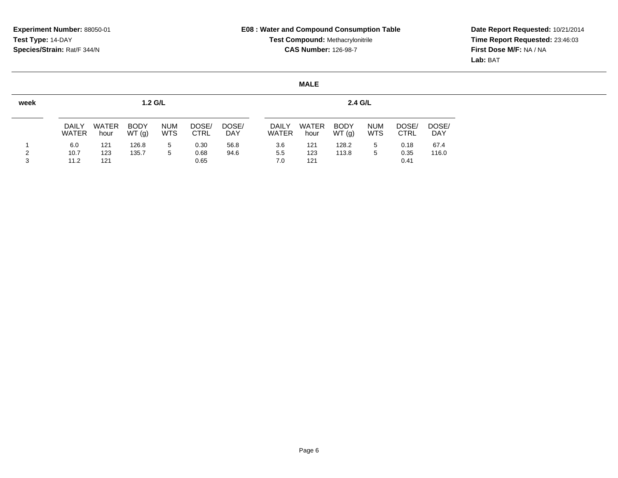# **Date Report Requested:** 10/21/2014 **Time Report Requested:** 23:46:03**First Dose M/F:** NA / NA**Lab:** BAT

| week   |                       |                      | 1.2 G/L              |                          |                      |              |                              |                      | 2.4 G/L              |                          |                      |                     |
|--------|-----------------------|----------------------|----------------------|--------------------------|----------------------|--------------|------------------------------|----------------------|----------------------|--------------------------|----------------------|---------------------|
|        | DAILY<br><b>WATER</b> | <b>WATER</b><br>hour | <b>BODY</b><br>WT(g) | <b>NUM</b><br><b>WTS</b> | DOSE/<br><b>CTRL</b> | DOSE/<br>DAY | <b>DAILY</b><br><b>WATER</b> | <b>WATER</b><br>hour | <b>BODY</b><br>WT(g) | <b>NUM</b><br><b>WTS</b> | DOSE/<br><b>CTRL</b> | DOSE/<br><b>DAY</b> |
| っ<br>3 | 6.0<br>10.7<br>11.2   | 121<br>123<br>121    | 126.8<br>135.7       | 5<br>5                   | 0.30<br>0.68<br>0.65 | 56.8<br>94.6 | 3.6<br>5.5<br>7.0            | 121<br>123<br>121    | 128.2<br>113.8       | 5<br>5                   | 0.18<br>0.35<br>0.41 | 67.4<br>116.0       |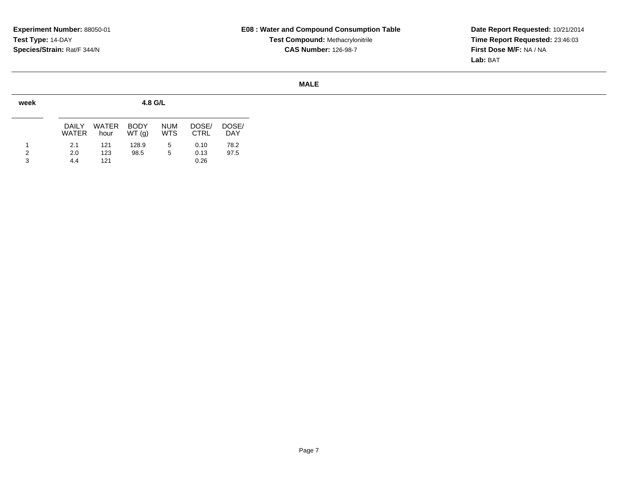**Date Report Requested:** 10/21/2014 **Time Report Requested:** 23:46:03**First Dose M/F:** NA / NA**Lab:** BAT

| week |                |                      |                      | 4.8 G/L                  |                      |                     |
|------|----------------|----------------------|----------------------|--------------------------|----------------------|---------------------|
|      | DAILY<br>WATER | <b>WATER</b><br>hour | <b>BODY</b><br>WT(q) | <b>NUM</b><br><b>WTS</b> | DOSE/<br><b>CTRL</b> | DOSE/<br><b>DAY</b> |
| 2    | 2.1            | 121                  | 128.9<br>98.5        | 5                        | 0.10                 | 78.2<br>97.5        |
| 3    | 2.0<br>4.4     | 123<br>121           |                      | 5                        | 0.13<br>0.26         |                     |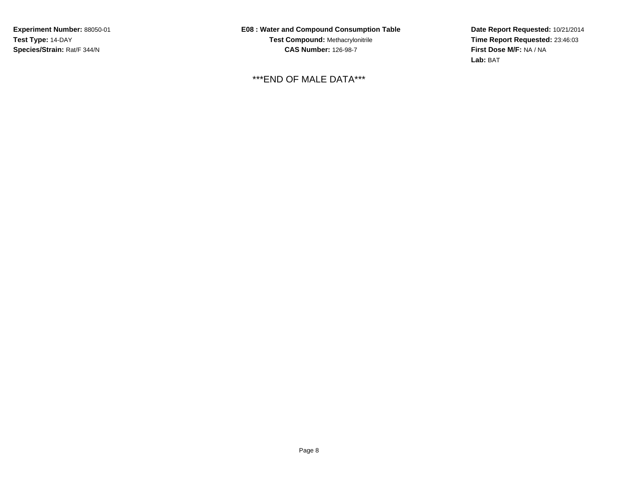**Experiment Number:** 88050-01**Test Type:** 14-DAY**Species/Strain:** Rat/F 344/N

**E08 : Water and Compound Consumption TableTest Compound:** Methacrylonitrile**CAS Number:** 126-98-7

\*\*\*END OF MALE DATA\*\*\*

**Date Report Requested:** 10/21/2014 **Time Report Requested:** 23:46:03**First Dose M/F:** NA / NA**Lab:** BAT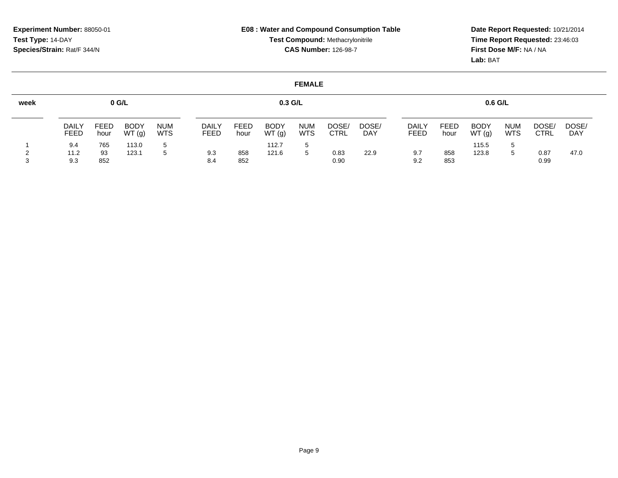**Date Report Requested:** 10/21/2014 **Time Report Requested:** 23:46:03**First Dose M/F:** NA / NA**Lab:** BAT

| week |                      |                     | $0$ G/L              |                          |                      |                     | $0.3$ G/L            |                          |                      |              |                      |              | 0.6 G/L              |                          |                      |                     |
|------|----------------------|---------------------|----------------------|--------------------------|----------------------|---------------------|----------------------|--------------------------|----------------------|--------------|----------------------|--------------|----------------------|--------------------------|----------------------|---------------------|
|      | <b>DAILY</b><br>FEED | <b>FEED</b><br>hour | <b>BODY</b><br>WT(g) | <b>NUM</b><br><b>WTS</b> | <b>DAILY</b><br>FEED | <b>FEED</b><br>hour | <b>BODY</b><br>WT(g) | <b>NUM</b><br><b>WTS</b> | DOSE/<br><b>CTRL</b> | DOSE/<br>DAY | <b>DAILY</b><br>FEED | FEED<br>hour | <b>BODY</b><br>WT(g) | <b>NUM</b><br><b>WTS</b> | DOSE/<br><b>CTRL</b> | DOSE/<br><b>DAY</b> |
|      | 9.4                  | 765                 | 113.0                |                          |                      |                     | 112.7                | -5                       |                      |              |                      |              | 115.5                | 5                        |                      |                     |
|      | 11.2                 | 93                  | 123.1                |                          | 9.3                  | 858                 | 121.6                | 5                        | 0.83                 | 22.9         | 9.7                  | 858          | 123.8                | 5                        | 0.87                 | 47.0                |
|      | 9.3                  | 852                 |                      |                          | 8.4                  | 852                 |                      |                          | 0.90                 |              | 9.2                  | 853          |                      |                          | 0.99                 |                     |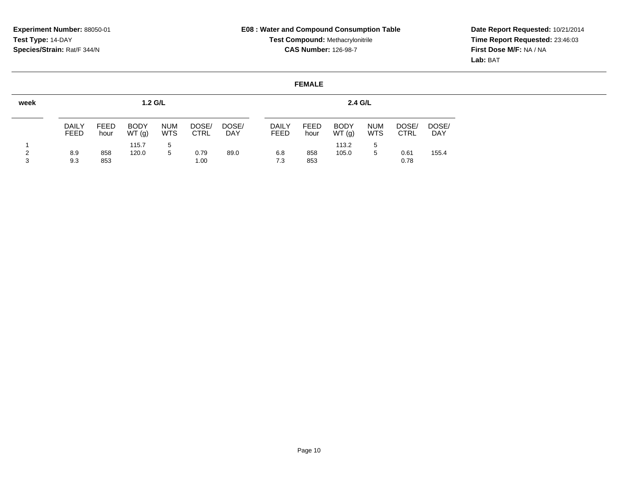<sup>853</sup> 1.00

3

# **E08 : Water and Compound Consumption TableTest Compound:** Methacrylonitrile**CAS Number:** 126-98-7

<sup>853</sup> 0.78

**Date Report Requested:** 10/21/2014 **Time Report Requested:** 23:46:03**First Dose M/F:** NA / NA**Lab:** BAT

#### **FEMALEweek**1 2**1.2 G/L**DAILY FEEDFEED hourBODY WT (g)NUM WTS <sup>5</sup> DOSE/ CTRLDOSE/ DAY115.78.9 <sup>858</sup> 120.0 <sup>5</sup> 0.79 89.0 9.3**2.4 G/L**DAILY FEEDFEED hourBODY WT (g)NUM WTS <sup>5</sup> DOSE/ CTRLDOSE/ DAY113.26.8 <sup>858</sup> 105.0 <sup>5</sup> 0.61 155.4 7.3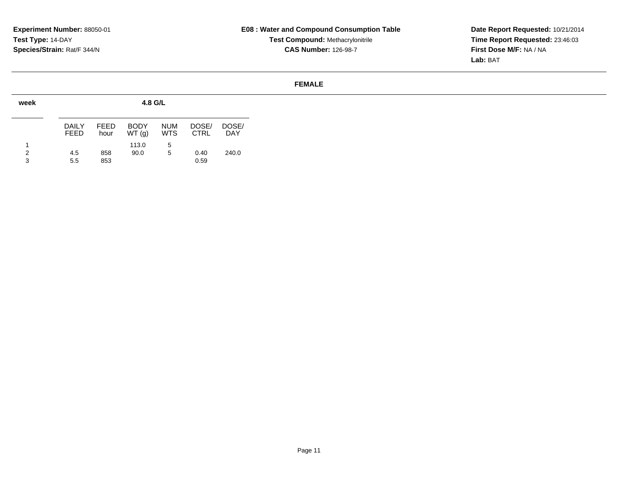**Date Report Requested:** 10/21/2014 **Time Report Requested:** 23:46:03**First Dose M/F:** NA / NA**Lab:** BAT

| week        |                |              | 4.8 G/L              |                          |                      |                     |
|-------------|----------------|--------------|----------------------|--------------------------|----------------------|---------------------|
|             | DAIL Y<br>FEED | FFFD<br>hour | <b>BODY</b><br>WT(q) | <b>NUM</b><br><b>WTS</b> | DOSE/<br><b>CTRL</b> | DOSE/<br><b>DAY</b> |
| 1<br>2<br>3 | 4.5<br>5.5     | 858<br>853   | 113.0<br>90.0        | 5<br>5                   | 0.40<br>0.59         | 240.0               |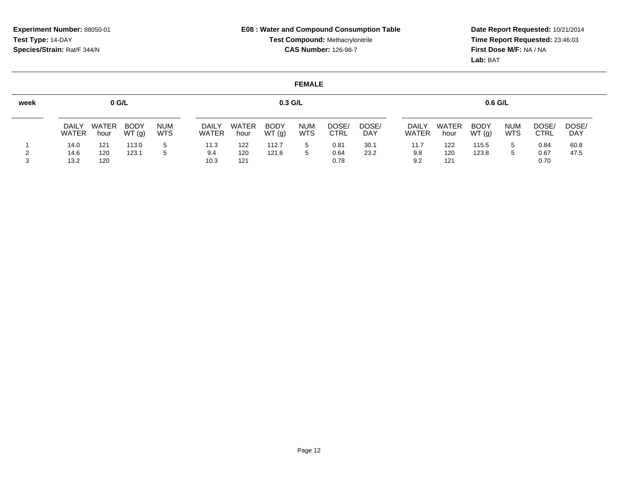# **Date Report Requested:** 10/21/2014 **Time Report Requested:** 23:46:03**First Dose M/F:** NA / NA**Lab:** BAT

| week |                       | $0$ G/L       |                      |                          |                       |                      | $0.3$ G/L            |                   |               |                     |                       |               | $0.6$ G/L            |                          |                      |                     |
|------|-----------------------|---------------|----------------------|--------------------------|-----------------------|----------------------|----------------------|-------------------|---------------|---------------------|-----------------------|---------------|----------------------|--------------------------|----------------------|---------------------|
|      | <b>DAILY</b><br>WATER | WATER<br>hour | <b>BODY</b><br>WT(g) | <b>NUM</b><br><b>WTS</b> | <b>DAILY</b><br>WATER | <b>WATER</b><br>hour | <b>BODY</b><br>WT(g) | <b>NUM</b><br>WTS | DOSE/<br>CTRL | DOSE/<br><b>DAY</b> | <b>DAILY</b><br>WATER | WATER<br>hour | <b>BODY</b><br>WT(g) | <b>NUM</b><br><b>WTS</b> | DOSE/<br><b>CTRL</b> | DOSE/<br><b>DAY</b> |
|      | 14.0                  | 121           | 113.0                | 5                        | 11.3                  | 122                  | 112.7                |                   | 0.81          | 30.1                | 11.7                  | 122           | 115.5                | 5                        | 0.84                 | 60.8                |
|      | 14.6                  | 120           | 123.1                | 5                        | 9.4                   | 120                  | 121.6                | 5.                | 0.64          | 23.2                | 9.8                   | 120           | 123.8                | 5                        | 0.67                 | 47.5                |
|      | 13.2                  | 120           |                      |                          | 10.3                  | 121                  |                      |                   | 0.78          |                     | 9.2                   | 121           |                      |                          | 0.70                 |                     |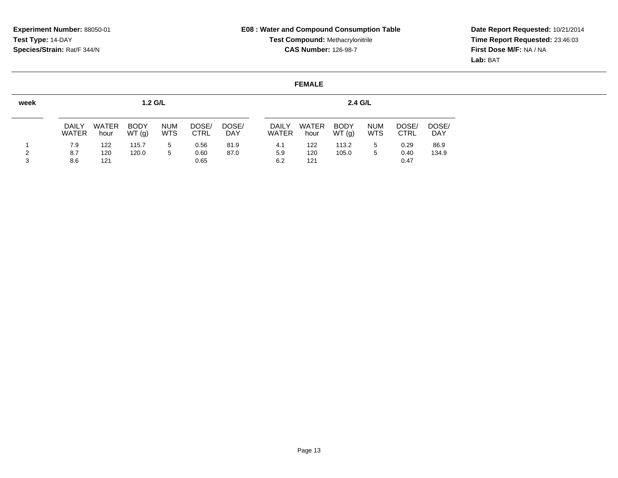# **Date Report Requested:** 10/21/2014 **Time Report Requested:** 23:46:03**First Dose M/F:** NA / NA**Lab:** BAT

| <b>WATER</b><br>hour | <b>BODY</b><br>WT(g)         | <b>NUM</b><br><b>WTS</b> | DOSE/<br><b>CTRL</b> | DOSE/<br><b>DAY</b> | DAILY<br><b>WATER</b> | <b>WATER</b><br>hour | <b>BODY</b><br>WT(g) | <b>NUM</b><br><b>WTS</b> | DOSE/<br><b>CTRL</b> | DOSE/<br><b>DAY</b> |
|----------------------|------------------------------|--------------------------|----------------------|---------------------|-----------------------|----------------------|----------------------|--------------------------|----------------------|---------------------|
| 122                  | 115.7                        | 5                        | 0.56                 | 81.9                | 4.1                   | 122                  | 113.2                | 5                        | 0.29                 | 86.9                |
| 120                  | 120.0                        | 5                        | 0.60                 | 87.0                | 5.9                   | 120                  | 105.0                | 5                        | 0.40                 | 134.9               |
| 7.9<br>8.6           | DAILY<br><b>WATER</b><br>121 |                          | $1.2$ G/L            | 0.65                |                       | 6.2                  | 121                  |                          | 2.4 G/L              | 0.47                |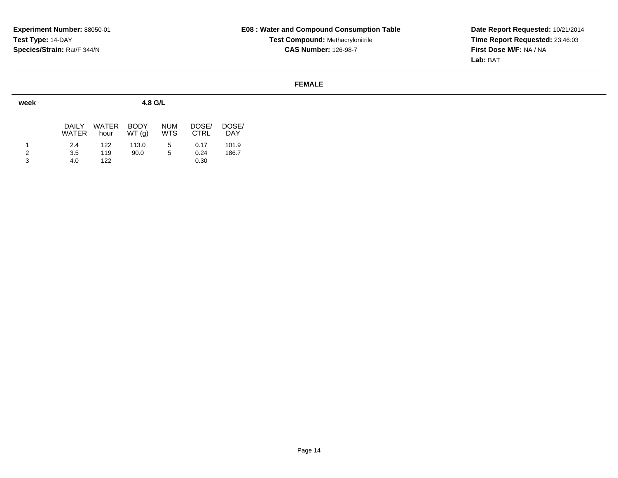**Date Report Requested:** 10/21/2014 **Time Report Requested:** 23:46:03**First Dose M/F:** NA / NA**Lab:** BAT

| week   |                       |                      | 4.8 G/L              |                          |                      |                     |
|--------|-----------------------|----------------------|----------------------|--------------------------|----------------------|---------------------|
|        | <b>DAILY</b><br>WATER | <b>WATER</b><br>hour | <b>BODY</b><br>WT(q) | <b>NUM</b><br><b>WTS</b> | DOSE/<br><b>CTRL</b> | DOSE/<br><b>DAY</b> |
| 2<br>3 | 2.4<br>3.5<br>4.0     | 122<br>119<br>122    | 113.0<br>90.0        | 5<br>5                   | 0.17<br>0.24<br>0.30 | 101.9<br>186.7      |